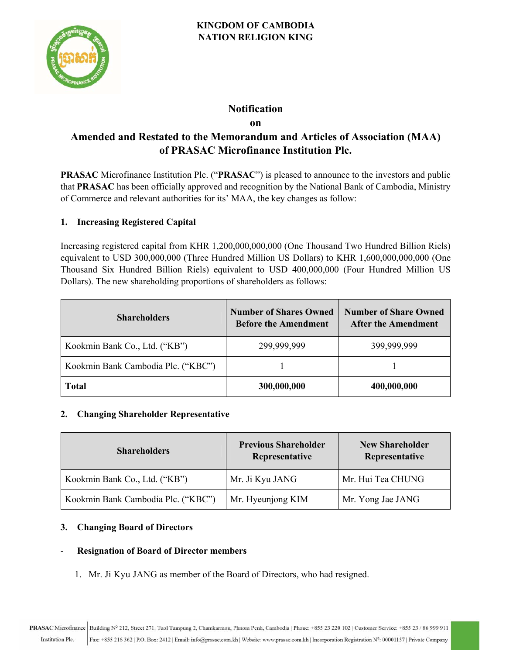

## **Notification**

**on** 

# **Amended and Restated to the Memorandum and Articles of Association (MAA) of PRASAC Microfinance Institution Plc.**

**PRASAC** Microfinance Institution Plc. ("**PRASAC**") is pleased to announce to the investors and public that **PRASAC** has been officially approved and recognition by the National Bank of Cambodia, Ministry of Commerce and relevant authorities for its' MAA, the key changes as follow:

#### **1. Increasing Registered Capital**

Increasing registered capital from KHR 1,200,000,000,000 (One Thousand Two Hundred Billion Riels) equivalent to USD 300,000,000 (Three Hundred Million US Dollars) to KHR 1,600,000,000,000 (One Thousand Six Hundred Billion Riels) equivalent to USD 400,000,000 (Four Hundred Million US Dollars). The new shareholding proportions of shareholders as follows:

| <b>Shareholders</b>                | <b>Number of Shares Owned</b><br><b>Before the Amendment</b> | <b>Number of Share Owned</b><br><b>After the Amendment</b> |
|------------------------------------|--------------------------------------------------------------|------------------------------------------------------------|
| Kookmin Bank Co., Ltd. ("KB")      | 299,999,999                                                  | 399,999,999                                                |
| Kookmin Bank Cambodia Plc. ("KBC") |                                                              |                                                            |
| <b>Total</b>                       | 300,000,000                                                  | 400,000,000                                                |

#### **2. Changing Shareholder Representative**

| <b>Shareholders</b>                | <b>Previous Shareholder</b><br>Representative | <b>New Shareholder</b><br>Representative |
|------------------------------------|-----------------------------------------------|------------------------------------------|
| Kookmin Bank Co., Ltd. ("KB")      | Mr. Ji Kyu JANG                               | Mr. Hui Tea CHUNG                        |
| Kookmin Bank Cambodia Plc. ("KBC") | Mr. Hyeunjong KIM                             | Mr. Yong Jae JANG                        |

## **3. Changing Board of Directors**

## - **Resignation of Board of Director members**

1. Mr. Ji Kyu JANG as member of the Board of Directors, who had resigned.